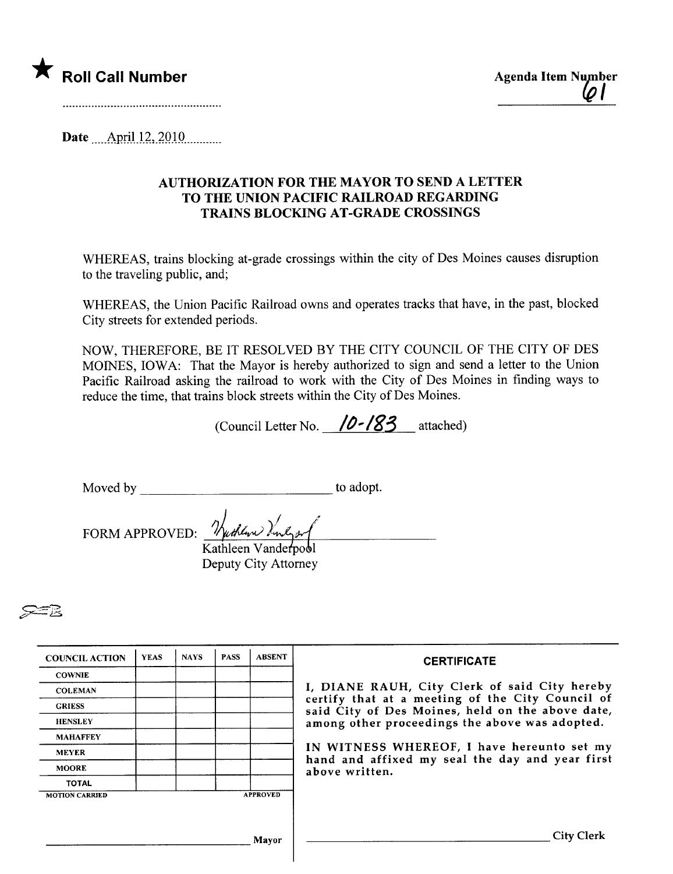

Date .....Am.iJJ2,.2Q.lQ..........

## AUTHORIZATION FOR THE MAYOR TO SEND A LETTER TO THE UNION PACIFIC RAILROAD REGARDING TRAINS BLOCKING AT -GRADE CROSSINGS

WHEREAS, trains blocking at-grade crossings within the city of Des Moines causes disruption to the traveling public, and;

WHEREAS, the Union Pacific Railroad owns and operates tracks that have, in the past, blocked City streets for extended periods.

NOW, THEREFORE, BE IT RESOLVED BY THE CITY COUNCIL OF THE CITY OF DES MOINES, IOWA: That the Mayor is hereby authorized to sign and send a letter to the Union Pacific Railroad asking the railroad to work with the City of Des Moines in finding ways to reduce the time, that trains block streets within the City of Des Moines.

(Council Letter No.  $10 - 183$  attached)

Moved by to adopt.<br>FORM APPROVED:  $\frac{\partial \phi}{\partial t}$  when  $\frac{\partial \phi}{\partial t}$ Kathleen Vanderpool

Deputy City Attorney

~B

| <b>COUNCIL ACTION</b> | <b>YEAS</b> | <b>NAYS</b> | <b>PASS</b> | <b>ABSENT</b>                                                     | <b>CERTIFICATE</b>                                                                                                                                                                                      |
|-----------------------|-------------|-------------|-------------|-------------------------------------------------------------------|---------------------------------------------------------------------------------------------------------------------------------------------------------------------------------------------------------|
| <b>COWNIE</b>         |             |             |             |                                                                   |                                                                                                                                                                                                         |
| <b>COLEMAN</b>        |             |             |             |                                                                   | I, DIANE RAUH, City Clerk of said City hereby<br>certify that at a meeting of the City Council of<br>said City of Des Moines, held on the above date,<br>among other proceedings the above was adopted. |
| <b>GRIESS</b>         |             |             |             |                                                                   |                                                                                                                                                                                                         |
| <b>HENSLEY</b>        |             |             |             |                                                                   |                                                                                                                                                                                                         |
| <b>MAHAFFEY</b>       |             |             |             |                                                                   |                                                                                                                                                                                                         |
| <b>MEYER</b>          |             |             |             | IN WITNESS WHEREOF, I have hereunto set my                        |                                                                                                                                                                                                         |
| <b>MOORE</b>          |             |             |             | hand and affixed my seal the day and year first<br>above written. |                                                                                                                                                                                                         |
| <b>TOTAL</b>          |             |             |             |                                                                   |                                                                                                                                                                                                         |
| <b>MOTION CARRIED</b> |             |             |             | <b>APPROVED</b>                                                   |                                                                                                                                                                                                         |
|                       |             |             |             |                                                                   |                                                                                                                                                                                                         |
|                       |             |             |             | Mavor                                                             | City Clerk                                                                                                                                                                                              |